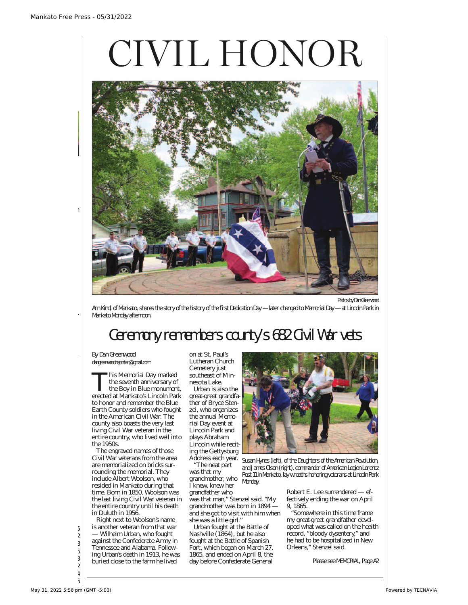## CIVIL HONOR



Arn Kind, of Mankato, shares the story of the history of the first Dedication Day — later changed to Memorial Day — at Lincoln Park in Mankato Monday afternoon.

## Ceremony remembers county's 682 Civil War vets

By Dan Greenwood dangreenwoodreporter@gmail.com

This Memorial Day marked the seventh anniversary of the Boy in Blue monument, erected at Mankato's Lincoln Park to honor and remember the Blue Earth County soldiers who fought in the American Civil War. The county also boasts the very last living Civil War veteran in the entire country, who lived well into the 1950s.

The engraved names of those Civil War veterans from the area are memorialized on bricks surrounding the memorial. They include Albert Woolson, who resided in Mankato during that time. Born in 1850, Woolson was the last living Civil War veteran in the entire country until his death in Duluth in 1956.

Right next to Woolson's name is another veteran from that war — Wilhelm Urban, who fought against the Confederate Army in Tennessee and Alabama. Following Urban's death in 1913, he was buried close to the farm he lived

on at St. Paul's Lutheran Church Cemetery just southeast of Minnesota Lake.

Urban is also the great-great grandfather of Bryce Stenzel, who organizes the annual Memorial Day event at Lincoln Park and plays Abraham Lincoln while reciting the Gettysburg Address each year.

"The neat part was that my grandmother, who I knew, knew her

grandfather who was that man," Stenzel said. "My grandmother was born in 1894 and she got to visit with him when she was a little girl."

Urban fought at the Battle of Nashville (1864), but he also fought at the Battle of Spanish Fort, which began on March 27, 1865, and ended on April 8, the day before Confederate General



Susan Hynes (left), of the Daughters of the American Revolution, and James Olson (right), commander of American Legion Lorentz Post 11 in Mankato, lay wreaths honoring veterans at Lincoln Park Monday.

> Robert E. Lee surrendered — effectively ending the war on April 9, 1865.

"Somewhere in this time frame my great-great grandfather developed what was called on the health record, "bloody dysentery," and he had to be hospitalized in New Orleans," Stenzel said.

Please see MEMORIAL, Page A2

Comics . . . . . . . . . . . . . . . . . . A5  $\mathcal{L}^{\text{max}}_{\text{max}}$ Currents . . . . . . . . . . . . . B7-B8 Marketplace . . . . . . . . . . . B4-B6  $\mathcal{B}$  $\mathbf{P}^{\text{max}}_{\text{max}}$ Public Notices . . . . . . . . . . . . . B4 Puzzles . . . . . . . . . . . . . . . . . . B6

leaving his truck running with

up in a classroom, killing kids.

**Read the account at www.**